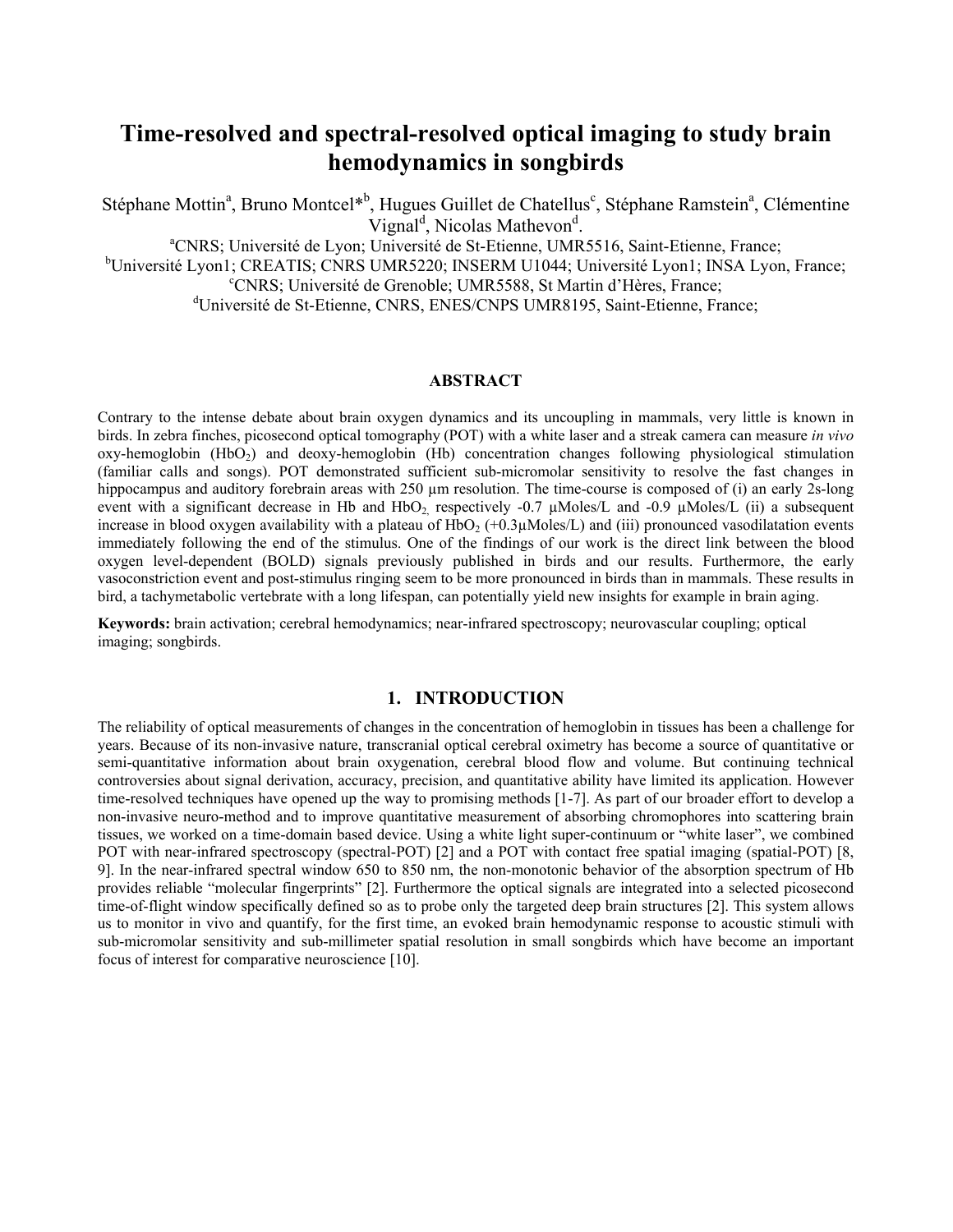# **Time-resolved and spectral-resolved optical imaging to study brain hemodynamics in songbirds**

Stéphane Mottin<sup>a</sup>, Bruno Montcel<sup>\*b</sup>, Hugues Guillet de Chatellus<sup>c</sup>, Stéphane Ramstein<sup>a</sup>, Clémentine Vignal<sup>d</sup>, Nicolas Mathevon<sup>d</sup>

<sup>a</sup>CNRS; Université de Lyon; Université de St-Etienne, UMR5516, Saint-Etienne, France;

<sup>b</sup>Université Lyon1; CREATIS; CNRS UMR5220; INSERM U1044; Université Lyon1; INSA Lyon, France;<br><sup>c</sup>CNRS: Université de Creapble: UMR5588, St Mertin d'Ulères, France; CNRS; Université de Grenoble; UMR5588, St Martin d'Hères, France;

dUniversité de St-Etienne, CNRS, ENES/CNPS UMR8195, Saint-Etienne, France;

## **ABSTRACT**

Contrary to the intense debate about brain oxygen dynamics and its uncoupling in mammals, very little is known in birds. In zebra finches, picosecond optical tomography (POT) with a white laser and a streak camera can measure *in vivo*  $oxy$ -hemoglobin (HbO<sub>2</sub>) and deoxy-hemoglobin (Hb) concentration changes following physiological stimulation (familiar calls and songs). POT demonstrated sufficient sub-micromolar sensitivity to resolve the fast changes in hippocampus and auditory forebrain areas with 250 µm resolution. The time-course is composed of (i) an early 2s-long event with a significant decrease in Hb and HbO<sub>2</sub> respectively -0.7  $\mu$ Moles/L and -0.9  $\mu$ Moles/L (ii) a subsequent increase in blood oxygen availability with a plateau of HbO<sub>2</sub> (+0.3 $\mu$ Moles/L) and (iii) pronounced vasodilatation events immediately following the end of the stimulus. One of the findings of our work is the direct link between the blood oxygen level-dependent (BOLD) signals previously published in birds and our results. Furthermore, the early vasoconstriction event and post-stimulus ringing seem to be more pronounced in birds than in mammals. These results in bird, a tachymetabolic vertebrate with a long lifespan, can potentially yield new insights for example in brain aging.

**Keywords:** brain activation; cerebral hemodynamics; near-infrared spectroscopy; neurovascular coupling; optical imaging; songbirds.

#### **1. INTRODUCTION**

The reliability of optical measurements of changes in the concentration of hemoglobin in tissues has been a challenge for years. Because of its non-invasive nature, transcranial optical cerebral oximetry has become a source of quantitative or semi-quantitative information about brain oxygenation, cerebral blood flow and volume. But continuing technical controversies about signal derivation, accuracy, precision, and quantitative ability have limited its application. However time-resolved techniques have opened up the way to promising methods [1-7]. As part of our broader effort to develop a non-invasive neuro-method and to improve quantitative measurement of absorbing chromophores into scattering brain tissues, we worked on a time-domain based device. Using a white light super-continuum or "white laser", we combined POT with near-infrared spectroscopy (spectral-POT) [2] and a POT with contact free spatial imaging (spatial-POT) [8, 9]. In the near-infrared spectral window 650 to 850 nm, the non-monotonic behavior of the absorption spectrum of Hb provides reliable "molecular fingerprints" [2]. Furthermore the optical signals are integrated into a selected picosecond time-of-flight window specifically defined so as to probe only the targeted deep brain structures [2]. This system allows us to monitor in vivo and quantify, for the first time, an evoked brain hemodynamic response to acoustic stimuli with sub-micromolar sensitivity and sub-millimeter spatial resolution in small songbirds which have become an important focus of interest for comparative neuroscience [10].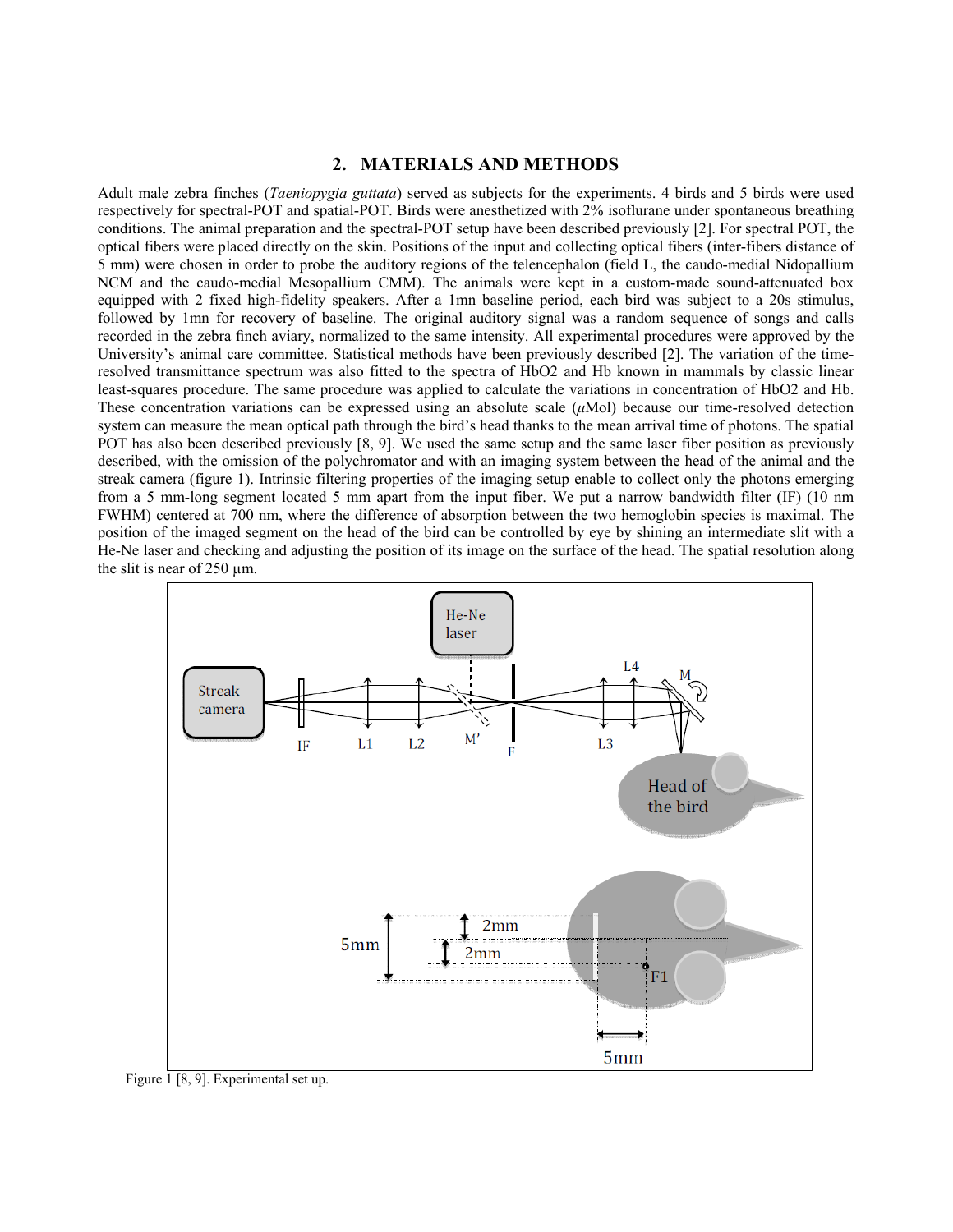## **2. MATERIALS AND METHODS**

Adult male zebra finches (*Taeniopygia guttata*) served as subjects for the experiments. 4 birds and 5 birds were used respectively for spectral-POT and spatial-POT. Birds were anesthetized with 2% isoflurane under spontaneous breathing conditions. The animal preparation and the spectral-POT setup have been described previously [2]. For spectral POT, the optical fibers were placed directly on the skin. Positions of the input and collecting optical fibers (inter-fibers distance of 5 mm) were chosen in order to probe the auditory regions of the telencephalon (field L, the caudo-medial Nidopallium NCM and the caudo-medial Mesopallium CMM). The animals were kept in a custom-made sound-attenuated box equipped with 2 fixed high-fidelity speakers. After a 1mn baseline period, each bird was subject to a 20s stimulus, followed by 1mn for recovery of baseline. The original auditory signal was a random sequence of songs and calls recorded in the zebra finch aviary, normalized to the same intensity. All experimental procedures were approved by the University's animal care committee. Statistical methods have been previously described [2]. The variation of the timeresolved transmittance spectrum was also fitted to the spectra of HbO2 and Hb known in mammals by classic linear least-squares procedure. The same procedure was applied to calculate the variations in concentration of HbO2 and Hb. These concentration variations can be expressed using an absolute scale (*μ*Mol) because our time-resolved detection system can measure the mean optical path through the bird's head thanks to the mean arrival time of photons. The spatial POT has also been described previously [8, 9]. We used the same setup and the same laser fiber position as previously described, with the omission of the polychromator and with an imaging system between the head of the animal and the streak camera (figure 1). Intrinsic filtering properties of the imaging setup enable to collect only the photons emerging from a 5 mm-long segment located 5 mm apart from the input fiber. We put a narrow bandwidth filter (IF) (10 nm FWHM) centered at 700 nm, where the difference of absorption between the two hemoglobin species is maximal. The position of the imaged segment on the head of the bird can be controlled by eye by shining an intermediate slit with a He-Ne laser and checking and adjusting the position of its image on the surface of the head. The spatial resolution along the slit is near of 250 µm.



Figure  $\overline{1}$  [8, 9]. Experimental set up.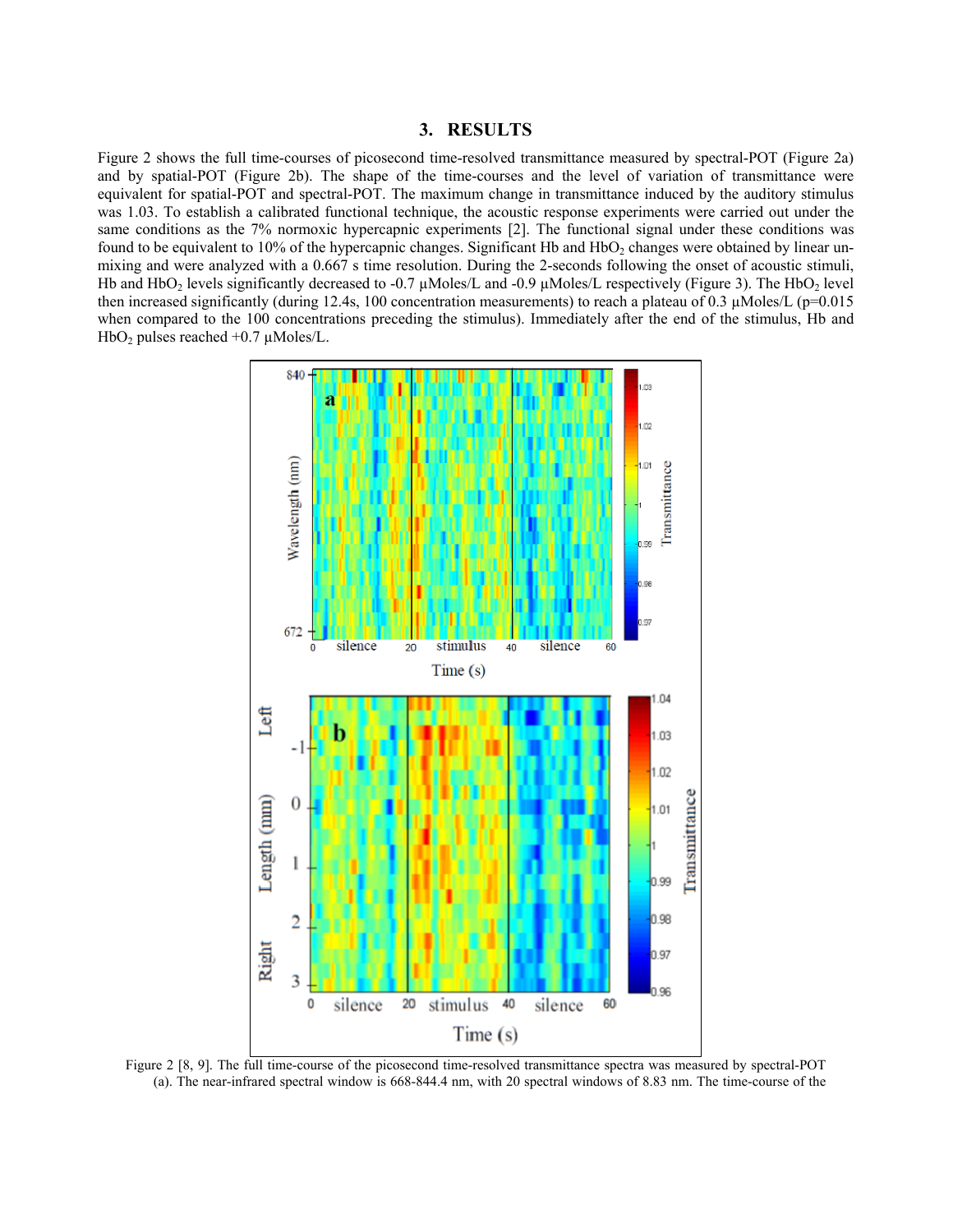# **3. RESULTS**

Figure 2 shows the full time-courses of picosecond time-resolved transmittance measured by spectral-POT (Figure 2a) and by spatial-POT (Figure 2b). The shape of the time-courses and the level of variation of transmittance were equivalent for spatial-POT and spectral-POT. The maximum change in transmittance induced by the auditory stimulus was 1.03. To establish a calibrated functional technique, the acoustic response experiments were carried out under the same conditions as the 7% normoxic hypercapnic experiments [2]. The functional signal under these conditions was found to be equivalent to 10% of the hypercapnic changes. Significant Hb and  $HbO<sub>2</sub>$  changes were obtained by linear unmixing and were analyzed with a 0.667 s time resolution. During the 2-seconds following the onset of acoustic stimuli, Hb and HbO<sub>2</sub> levels significantly decreased to -0.7  $\mu$ Moles/L and -0.9  $\mu$ Moles/L respectively (Figure 3). The HbO<sub>2</sub> level then increased significantly (during 12.4s, 100 concentration measurements) to reach a plateau of 0.3  $\mu$ Moles/L (p=0.015 when compared to the 100 concentrations preceding the stimulus). Immediately after the end of the stimulus, Hb and HbO<sub>2</sub> pulses reached  $+0.7 \mu$ Moles/L.



Figure 2 [8, 9]. The full time-course of the picosecond time-resolved transmittance spectra was measured by spectral-POT (a). The near-infrared spectral window is 668-844.4 nm, with 20 spectral windows of 8.83 nm. The time-course of the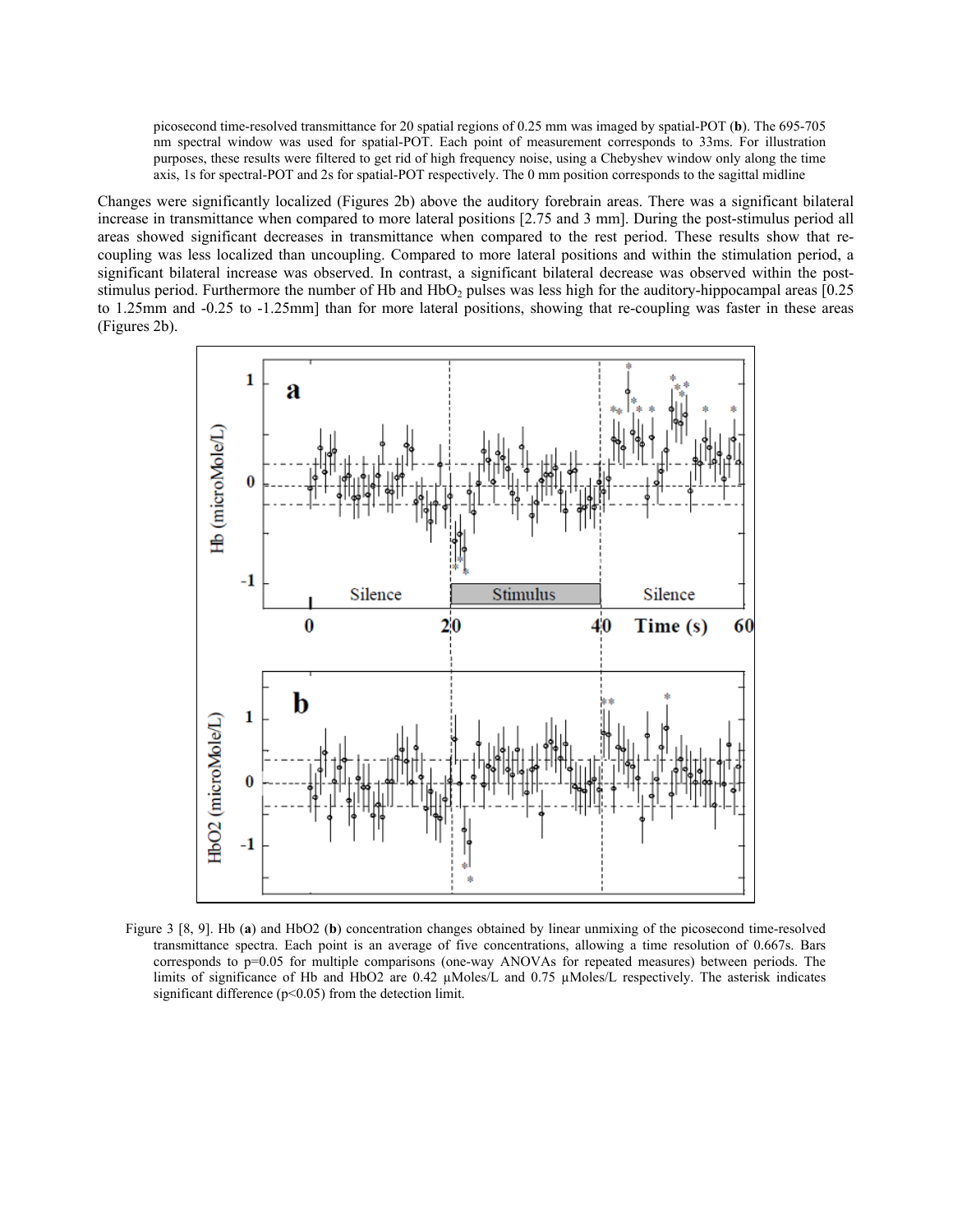picosecond time-resolved transmittance for 20 spatial regions of 0.25 mm was imaged by spatial-POT (**b**). The 695-705 nm spectral window was used for spatial-POT. Each point of measurement corresponds to 33ms. For illustration purposes, these results were filtered to get rid of high frequency noise, using a Chebyshev window only along the time axis, 1s for spectral-POT and 2s for spatial-POT respectively. The 0 mm position corresponds to the sagittal midline

Changes were significantly localized (Figures 2b) above the auditory forebrain areas. There was a significant bilateral increase in transmittance when compared to more lateral positions [2.75 and 3 mm]. During the post-stimulus period all areas showed significant decreases in transmittance when compared to the rest period. These results show that recoupling was less localized than uncoupling. Compared to more lateral positions and within the stimulation period, a significant bilateral increase was observed. In contrast, a significant bilateral decrease was observed within the poststimulus period. Furthermore the number of Hb and  $HbO<sub>2</sub>$  pulses was less high for the auditory-hippocampal areas [0.25] to 1.25mm and -0.25 to -1.25mm] than for more lateral positions, showing that re-coupling was faster in these areas (Figures 2b).



Figure 3 [8, 9]. Hb (**a**) and HbO2 (**b**) concentration changes obtained by linear unmixing of the picosecond time-resolved transmittance spectra. Each point is an average of five concentrations, allowing a time resolution of 0.667s. Bars corresponds to p=0.05 for multiple comparisons (one-way ANOVAs for repeated measures) between periods. The limits of significance of Hb and HbO2 are 0.42 µMoles/L and 0.75 µMoles/L respectively. The asterisk indicates significant difference (p<0.05) from the detection limit.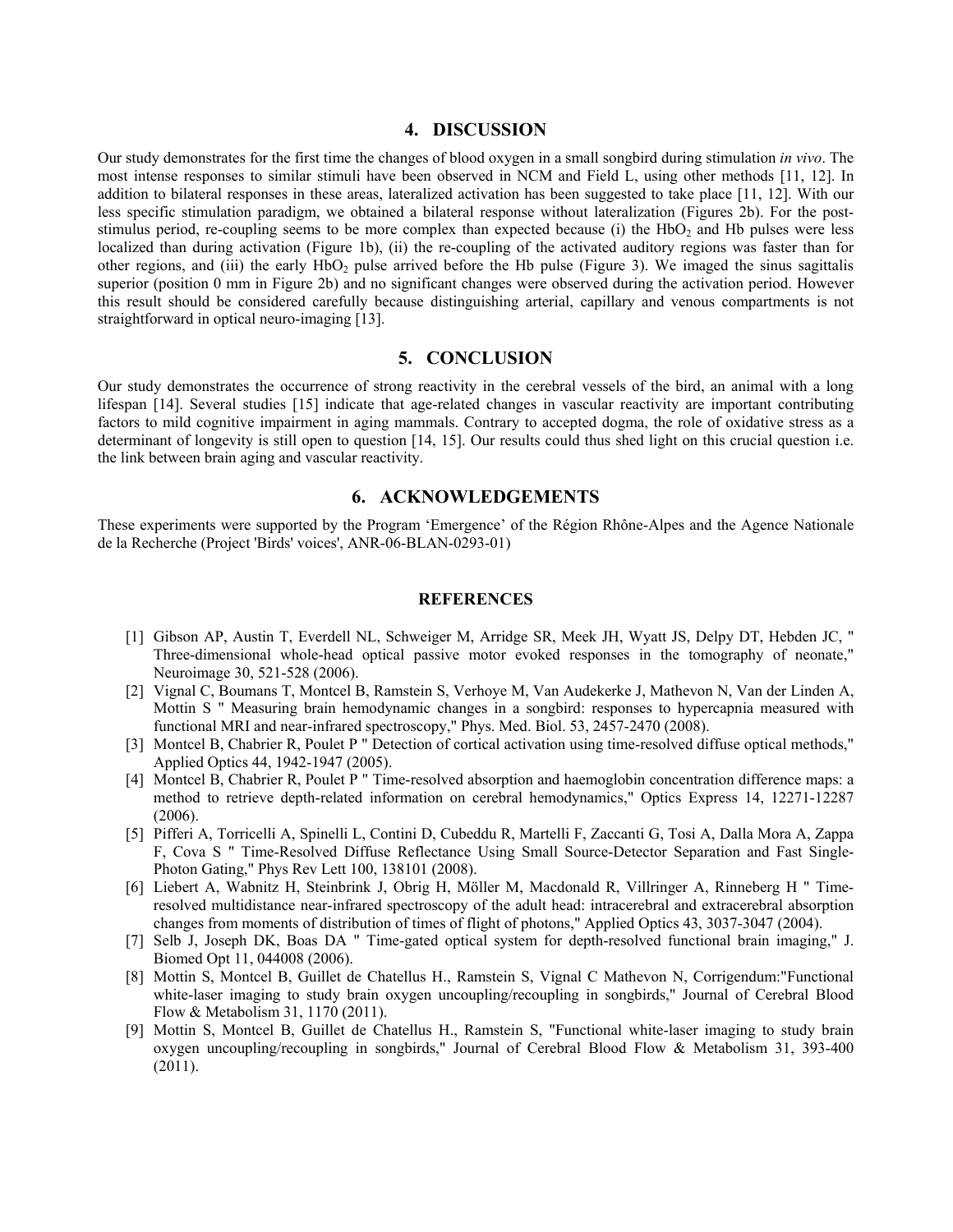## **4. DISCUSSION**

Our study demonstrates for the first time the changes of blood oxygen in a small songbird during stimulation *in vivo*. The most intense responses to similar stimuli have been observed in NCM and Field L, using other methods [11, 12]. In addition to bilateral responses in these areas, lateralized activation has been suggested to take place [11, 12]. With our less specific stimulation paradigm, we obtained a bilateral response without lateralization (Figures 2b). For the poststimulus period, re-coupling seems to be more complex than expected because (i) the  $HbO<sub>2</sub>$  and Hb pulses were less localized than during activation (Figure 1b), (ii) the re-coupling of the activated auditory regions was faster than for other regions, and (iii) the early  $HbO<sub>2</sub>$  pulse arrived before the Hb pulse (Figure 3). We imaged the sinus sagittalis superior (position 0 mm in Figure 2b) and no significant changes were observed during the activation period. However this result should be considered carefully because distinguishing arterial, capillary and venous compartments is not straightforward in optical neuro-imaging [13].

## **5. CONCLUSION**

Our study demonstrates the occurrence of strong reactivity in the cerebral vessels of the bird, an animal with a long lifespan [14]. Several studies [15] indicate that age-related changes in vascular reactivity are important contributing factors to mild cognitive impairment in aging mammals. Contrary to accepted dogma, the role of oxidative stress as a determinant of longevity is still open to question [14, 15]. Our results could thus shed light on this crucial question i.e. the link between brain aging and vascular reactivity.

## **6. ACKNOWLEDGEMENTS**

These experiments were supported by the Program 'Emergence' of the Région Rhône-Alpes and the Agence Nationale de la Recherche (Project 'Birds' voices', ANR-06-BLAN-0293-01)

#### **REFERENCES**

- [1] Gibson AP, Austin T, Everdell NL, Schweiger M, Arridge SR, Meek JH, Wyatt JS, Delpy DT, Hebden JC, " Three-dimensional whole-head optical passive motor evoked responses in the tomography of neonate," Neuroimage 30, 521-528 (2006).
- [2] Vignal C, Boumans T, Montcel B, Ramstein S, Verhoye M, Van Audekerke J, Mathevon N, Van der Linden A, Mottin S " Measuring brain hemodynamic changes in a songbird: responses to hypercapnia measured with functional MRI and near-infrared spectroscopy," Phys. Med. Biol. 53, 2457-2470 (2008).
- [3] Montcel B, Chabrier R, Poulet P " Detection of cortical activation using time-resolved diffuse optical methods," Applied Optics 44, 1942-1947 (2005).
- [4] Montcel B, Chabrier R, Poulet P " Time-resolved absorption and haemoglobin concentration difference maps: a method to retrieve depth-related information on cerebral hemodynamics," Optics Express 14, 12271-12287 (2006).
- [5] Pifferi A, Torricelli A, Spinelli L, Contini D, Cubeddu R, Martelli F, Zaccanti G, Tosi A, Dalla Mora A, Zappa F, Cova S " Time-Resolved Diffuse Reflectance Using Small Source-Detector Separation and Fast Single-Photon Gating," Phys Rev Lett 100, 138101 (2008).
- [6] Liebert A, Wabnitz H, Steinbrink J, Obrig H, Möller M, Macdonald R, Villringer A, Rinneberg H " Timeresolved multidistance near-infrared spectroscopy of the adult head: intracerebral and extracerebral absorption changes from moments of distribution of times of flight of photons," Applied Optics 43, 3037-3047 (2004).
- [7] Selb J, Joseph DK, Boas DA " Time-gated optical system for depth-resolved functional brain imaging," J. Biomed Opt 11, 044008 (2006).
- [8] Mottin S, Montcel B, Guillet de Chatellus H., Ramstein S, Vignal C Mathevon N, Corrigendum:"Functional white-laser imaging to study brain oxygen uncoupling/recoupling in songbirds," Journal of Cerebral Blood Flow & Metabolism 31, 1170 (2011).
- [9] Mottin S, Montcel B, Guillet de Chatellus H., Ramstein S, "Functional white-laser imaging to study brain oxygen uncoupling/recoupling in songbirds," Journal of Cerebral Blood Flow & Metabolism 31, 393-400 (2011).